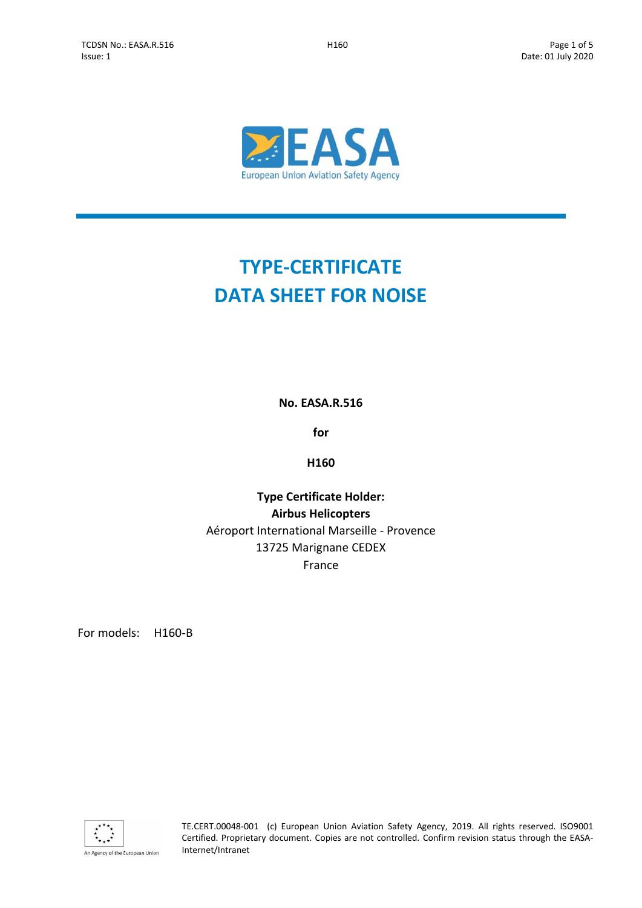

# **TYPE-CERTIFICATE DATA SHEET FOR NOISE**

**No. EASA.R.516**

**for**

**H160**

**Type Certificate Holder: Airbus Helicopters** Aéroport International Marseille - Provence 13725 Marignane CEDEX France

For models: H160-B

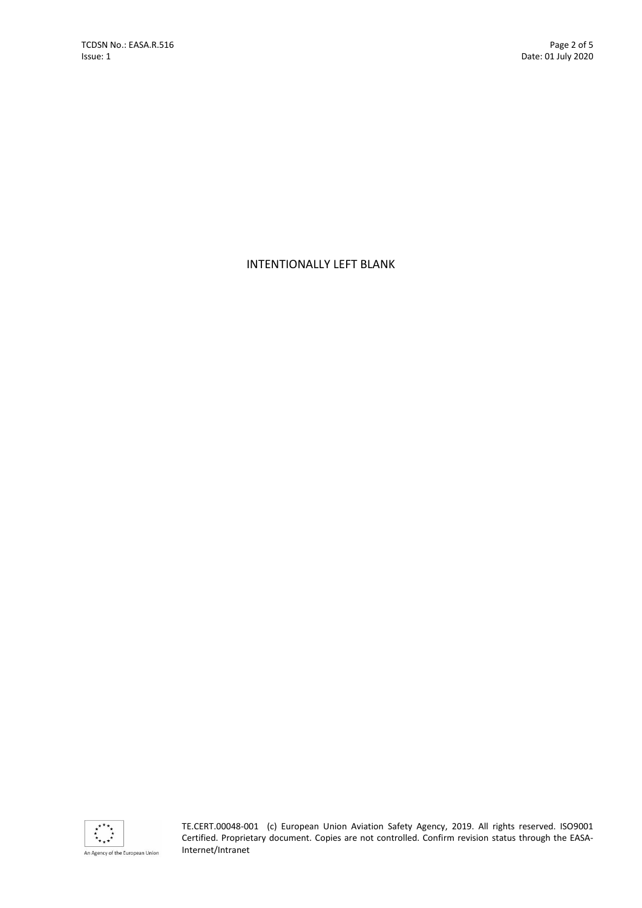## INTENTIONALLY LEFT BLANK

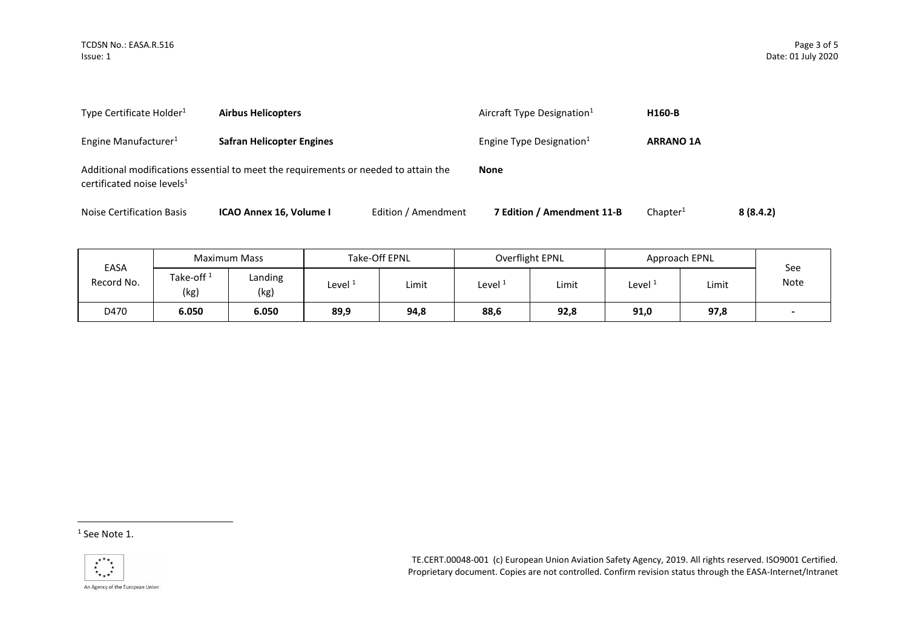| Type Certificate Holder <sup>1</sup><br><b>Airbus Helicopters</b> |                                                                                     |                     | Aircraft Type Designation <sup>1</sup> | H160-B               |          |
|-------------------------------------------------------------------|-------------------------------------------------------------------------------------|---------------------|----------------------------------------|----------------------|----------|
| Engine Manufacturer <sup>1</sup>                                  | <b>Safran Helicopter Engines</b>                                                    |                     | Engine Type Designation <sup>1</sup>   | <b>ARRANO 1A</b>     |          |
| certificated noise levels <sup>1</sup>                            | Additional modifications essential to meet the requirements or needed to attain the |                     | <b>None</b>                            |                      |          |
| Noise Certification Basis                                         | ICAO Annex 16, Volume I                                                             | Edition / Amendment | 7 Edition / Amendment 11-B             | Chapter <sup>1</sup> | 8(8.4.2) |

|                    |                               | <b>Maximum Mass</b> | Take-Off EPNL |       | Overflight EPNL  |       | Approach EPNL |       |             |
|--------------------|-------------------------------|---------------------|---------------|-------|------------------|-------|---------------|-------|-------------|
| EASA<br>Record No. | Take-off <sup>1</sup><br>(kg) | Landing<br>(kg)     | Level         | Limit | Level $^{\rm 1}$ | Limit | Level         | Limit | See<br>Note |
| D470               | 6.050                         | 6.050               | 89,9          | 94,8  | 88,6             | 92,8  | 91,0          | 97,8  |             |

1 See Note 1.

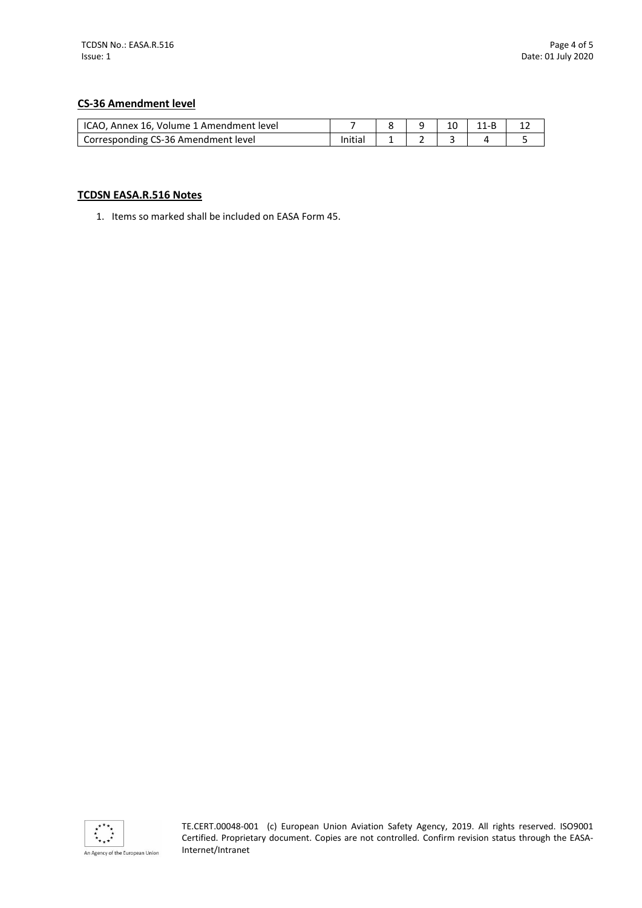#### **CS-36 Amendment level**

| ICAO, Annex 16, Volume 1 Amendment level |  | 10 | -- |
|------------------------------------------|--|----|----|
| Corresponding CS-36 Amendment level      |  |    |    |

#### **TCDSN EASA.R.516 Notes**

1. Items so marked shall be included on EASA Form 45.